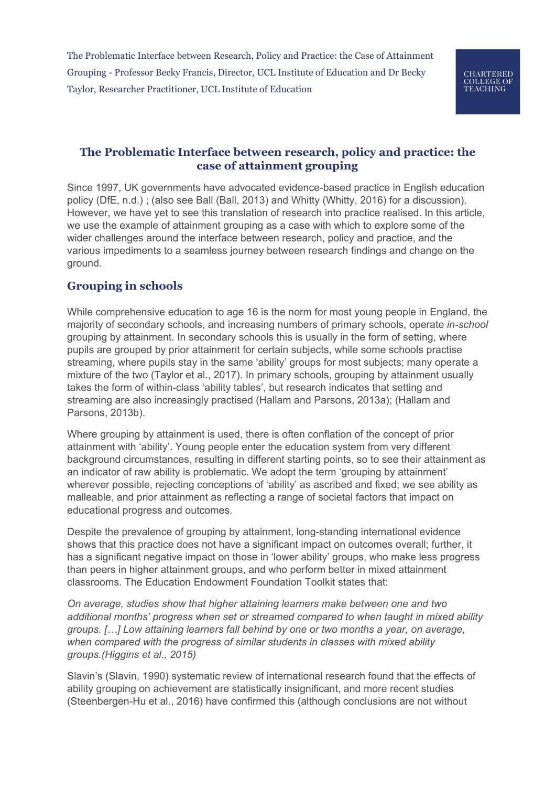## **The Problematic Interface between research, policy and practice: the case of attainment grouping**

Since 1997, UK governments have advocated evidence-based practice in English education policy (DfE, n.d.) ; (also see Ball (Ball, 2013) and Whitty (Whitty, 2016) for a discussion). However, we have yet to see this translation of research into practice realised. In this article, we use the example of attainment grouping as a case with which to explore some of the wider challenges around the interface between research, policy and practice, and the various impediments to a seamless journey between research findings and change on the ground.

# **Grouping in schools**

While comprehensive education to age 16 is the norm for most young people in England, the majority of secondary schools, and increasing numbers of primary schools, operate *in-school* grouping by attainment. In secondary schools this is usually in the form of setting, where pupils are grouped by prior attainment for certain subjects, while some schools practise streaming, where pupils stay in the same 'ability' groups for most subjects; many operate a mixture of the two (Taylor et al., 2017). In primary schools, grouping by attainment usually takes the form of within-class 'ability tables', but research indicates that setting and streaming are also increasingly practised (Hallam and Parsons, 2013a); (Hallam and Parsons, 2013b).

Where grouping by attainment is used, there is often conflation of the concept of prior attainment with 'ability'. Young people enter the education system from very different background circumstances, resulting in different starting points, so to see their attainment as an indicator of raw ability is problematic. We adopt the term 'grouping by attainment' wherever possible, rejecting conceptions of 'ability' as ascribed and fixed; we see ability as malleable, and prior attainment as reflecting a range of societal factors that impact on educational progress and outcomes.

Despite the prevalence of grouping by attainment, long-standing international evidence shows that this practice does not have a significant impact on outcomes overall; further, it has a significant negative impact on those in 'lower ability' groups, who make less progress than peers in higher attainment groups, and who perform better in mixed attainment classrooms. The Education Endowment Foundation Toolkit states that:

*On average, studies show that higher attaining learners make between one and two additional months' progress when set or streamed compared to when taught in mixed ability groups. […] Low attaining learners fall behind by one or two months a year, on average, when compared with the progress of similar students in classes with mixed ability groups.(Higgins et al., 2015)*

Slavin's (Slavin, 1990) systematic review of international research found that the effects of ability grouping on achievement are statistically insignificant, and more recent studies (Steenbergen-Hu et al., 2016) have confirmed this (although conclusions are not without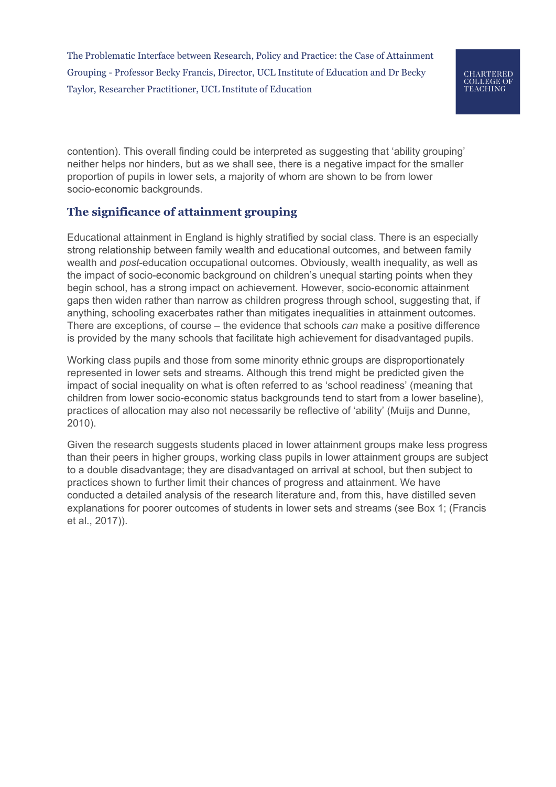contention). This overall finding could be interpreted as suggesting that 'ability grouping' neither helps nor hinders, but as we shall see, there is a negative impact for the smaller proportion of pupils in lower sets, a majority of whom are shown to be from lower socio-economic backgrounds.

# **The significance of attainment grouping**

Educational attainment in England is highly stratified by social class. There is an especially strong relationship between family wealth and educational outcomes, and between family wealth and *post*-education occupational outcomes. Obviously, wealth inequality, as well as the impact of socio-economic background on children's unequal starting points when they begin school, has a strong impact on achievement. However, socio-economic attainment gaps then widen rather than narrow as children progress through school, suggesting that, if anything, schooling exacerbates rather than mitigates inequalities in attainment outcomes. There are exceptions, of course – the evidence that schools *can* make a positive difference is provided by the many schools that facilitate high achievement for disadvantaged pupils.

Working class pupils and those from some minority ethnic groups are disproportionately represented in lower sets and streams. Although this trend might be predicted given the impact of social inequality on what is often referred to as 'school readiness' (meaning that children from lower socio-economic status backgrounds tend to start from a lower baseline), practices of allocation may also not necessarily be reflective of 'ability' (Muijs and Dunne, 2010).

Given the research suggests students placed in lower attainment groups make less progress than their peers in higher groups, working class pupils in lower attainment groups are subject to a double disadvantage; they are disadvantaged on arrival at school, but then subject to practices shown to further limit their chances of progress and attainment. We have conducted a detailed analysis of the research literature and, from this, have distilled seven explanations for poorer outcomes of students in lower sets and streams (see Box 1; (Francis et al., 2017)).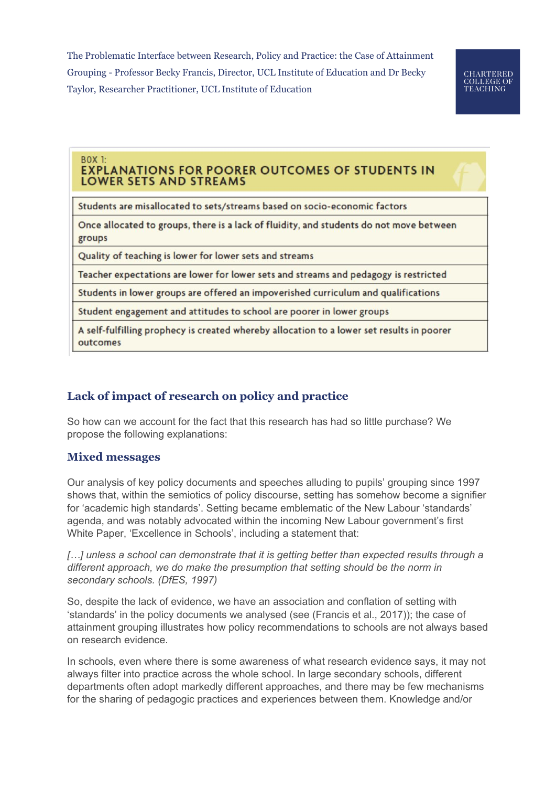**CHARTERED COLLEGE OF<br>TEACHING** 

#### **BOX 1: EXPLANATIONS FOR POORER OUTCOMES OF STUDENTS IN LOWER SETS AND STREAMS**

Students are misallocated to sets/streams based on socio-economic factors

Once allocated to groups, there is a lack of fluidity, and students do not move between groups

Quality of teaching is lower for lower sets and streams

Teacher expectations are lower for lower sets and streams and pedagogy is restricted

Students in lower groups are offered an impoverished curriculum and qualifications

Student engagement and attitudes to school are poorer in lower groups

A self-fulfilling prophecy is created whereby allocation to a lower set results in poorer outcomes

# **Lack of impact of research on policy and practice**

So how can we account for the fact that this research has had so little purchase? We propose the following explanations:

### **Mixed messages**

Our analysis of key policy documents and speeches alluding to pupils' grouping since 1997 shows that, within the semiotics of policy discourse, setting has somehow become a signifier for 'academic high standards'. Setting became emblematic of the New Labour 'standards' agenda, and was notably advocated within the incoming New Labour government's first White Paper, 'Excellence in Schools', including a statement that:

*[…] unless a school can demonstrate that it is getting better than expected results through a different approach, we do make the presumption that setting should be the norm in secondary schools. (DfES, 1997)*

So, despite the lack of evidence, we have an association and conflation of setting with 'standards' in the policy documents we analysed (see (Francis et al., 2017)); the case of attainment grouping illustrates how policy recommendations to schools are not always based on research evidence.

In schools, even where there is some awareness of what research evidence says, it may not always filter into practice across the whole school. In large secondary schools, different departments often adopt markedly different approaches, and there may be few mechanisms for the sharing of pedagogic practices and experiences between them. Knowledge and/or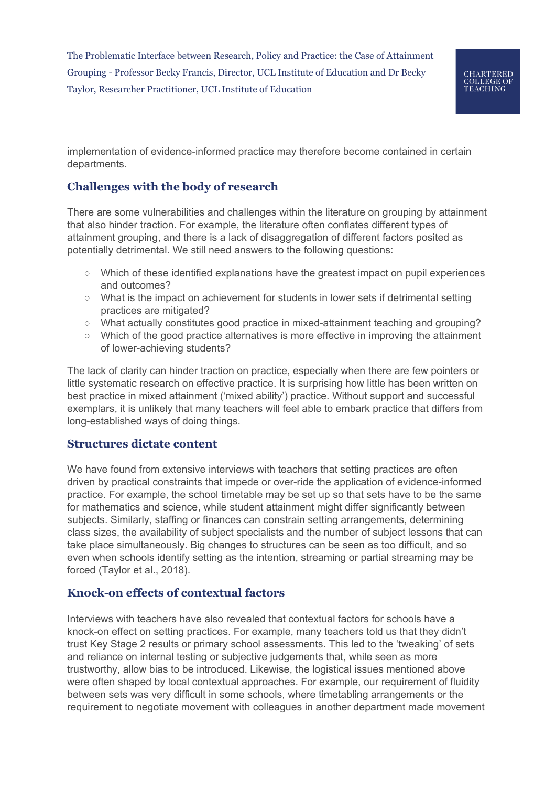

implementation of evidence-informed practice may therefore become contained in certain departments.

## **Challenges with the body of research**

There are some vulnerabilities and challenges within the literature on grouping by attainment that also hinder traction. For example, the literature often conflates different types of attainment grouping, and there is a lack of disaggregation of different factors posited as potentially detrimental. We still need answers to the following questions:

- Which of these identified explanations have the greatest impact on pupil experiences and outcomes?
- What is the impact on achievement for students in lower sets if detrimental setting practices are mitigated?
- What actually constitutes good practice in mixed-attainment teaching and grouping?
- Which of the good practice alternatives is more effective in improving the attainment of lower-achieving students?

The lack of clarity can hinder traction on practice, especially when there are few pointers or little systematic research on effective practice. It is surprising how little has been written on best practice in mixed attainment ('mixed ability') practice. Without support and successful exemplars, it is unlikely that many teachers will feel able to embark practice that differs from long-established ways of doing things.

### **Structures dictate content**

We have found from extensive interviews with teachers that setting practices are often driven by practical constraints that impede or over-ride the application of evidence-informed practice. For example, the school timetable may be set up so that sets have to be the same for mathematics and science, while student attainment might differ significantly between subjects. Similarly, staffing or finances can constrain setting arrangements, determining class sizes, the availability of subject specialists and the number of subject lessons that can take place simultaneously. Big changes to structures can be seen as too difficult, and so even when schools identify setting as the intention, streaming or partial streaming may be forced (Taylor et al., 2018).

### **Knock-on effects of contextual factors**

Interviews with teachers have also revealed that contextual factors for schools have a knock-on effect on setting practices. For example, many teachers told us that they didn't trust Key Stage 2 results or primary school assessments. This led to the 'tweaking' of sets and reliance on internal testing or subjective judgements that, while seen as more trustworthy, allow bias to be introduced. Likewise, the logistical issues mentioned above were often shaped by local contextual approaches. For example, our requirement of fluidity between sets was very difficult in some schools, where timetabling arrangements or the requirement to negotiate movement with colleagues in another department made movement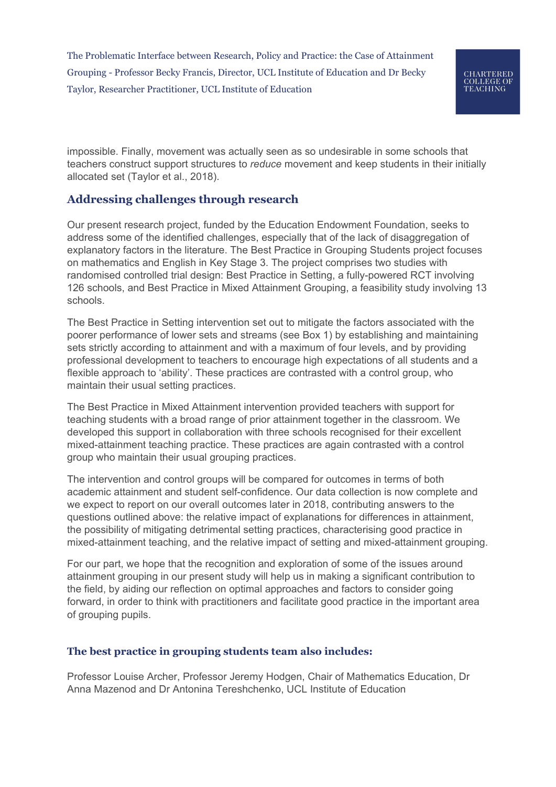impossible. Finally, movement was actually seen as so undesirable in some schools that teachers construct support structures to *reduce* movement and keep students in their initially allocated set (Taylor et al., 2018).

## **Addressing challenges through research**

Our present research project, funded by the Education Endowment Foundation, seeks to address some of the identified challenges, especially that of the lack of disaggregation of explanatory factors in the literature. The Best Practice in Grouping Students project focuses on mathematics and English in Key Stage 3. The project comprises two studies with randomised controlled trial design: Best Practice in Setting, a fully-powered RCT involving 126 schools, and Best Practice in Mixed Attainment Grouping, a feasibility study involving 13 schools.

The Best Practice in Setting intervention set out to mitigate the factors associated with the poorer performance of lower sets and streams (see Box 1) by establishing and maintaining sets strictly according to attainment and with a maximum of four levels, and by providing professional development to teachers to encourage high expectations of all students and a flexible approach to 'ability'. These practices are contrasted with a control group, who maintain their usual setting practices.

The Best Practice in Mixed Attainment intervention provided teachers with support for teaching students with a broad range of prior attainment together in the classroom. We developed this support in collaboration with three schools recognised for their excellent mixed-attainment teaching practice. These practices are again contrasted with a control group who maintain their usual grouping practices.

The intervention and control groups will be compared for outcomes in terms of both academic attainment and student self-confidence. Our data collection is now complete and we expect to report on our overall outcomes later in 2018, contributing answers to the questions outlined above: the relative impact of explanations for differences in attainment, the possibility of mitigating detrimental setting practices, characterising good practice in mixed-attainment teaching, and the relative impact of setting and mixed-attainment grouping.

For our part, we hope that the recognition and exploration of some of the issues around attainment grouping in our present study will help us in making a significant contribution to the field, by aiding our reflection on optimal approaches and factors to consider going forward, in order to think with practitioners and facilitate good practice in the important area of grouping pupils.

#### **The best practice in grouping students team also includes:**

Professor Louise Archer, Professor Jeremy Hodgen, Chair of Mathematics Education, Dr Anna Mazenod and Dr Antonina Tereshchenko, UCL Institute of Education